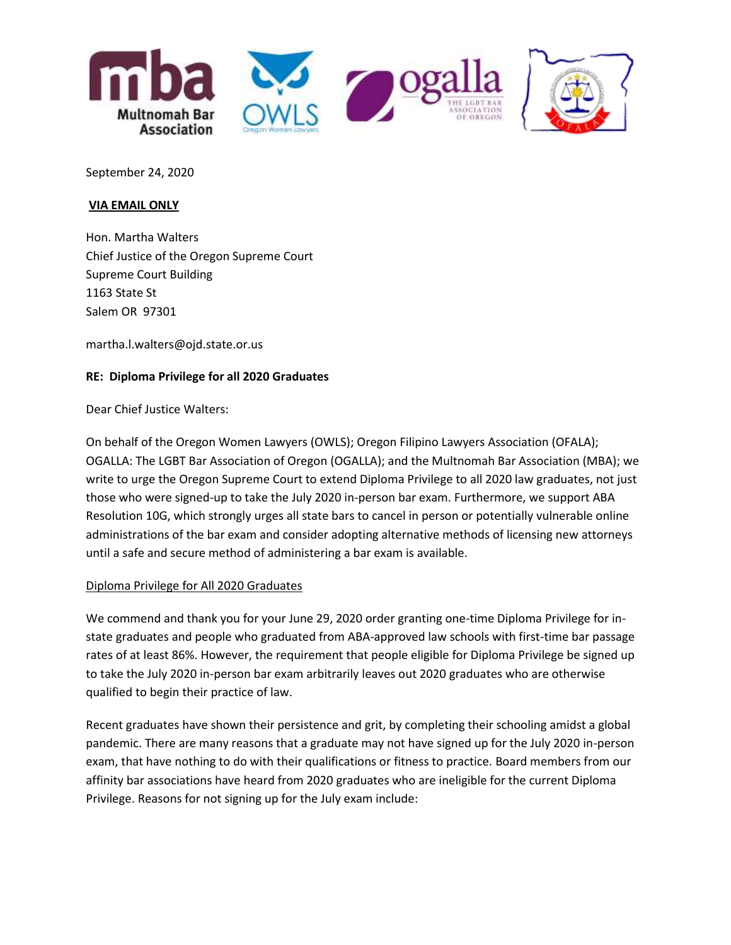

September 24, 2020

### **VIA EMAIL ONLY**

Hon. Martha Walters Chief Justice of the Oregon Supreme Court Supreme Court Building 1163 State St Salem OR 97301

martha.l.walters@ojd.state.or.us

# **RE: Diploma Privilege for all 2020 Graduates**

Dear Chief Justice Walters:

On behalf of the Oregon Women Lawyers (OWLS); Oregon Filipino Lawyers Association (OFALA); OGALLA: The LGBT Bar Association of Oregon (OGALLA); and the Multnomah Bar Association (MBA); we write to urge the Oregon Supreme Court to extend Diploma Privilege to all 2020 law graduates, not just those who were signed-up to take the July 2020 in-person bar exam. Furthermore, we support ABA Resolution 10G, which strongly urges all state bars to cancel in person or potentially vulnerable online administrations of the bar exam and consider adopting alternative methods of licensing new attorneys until a safe and secure method of administering a bar exam is available.

# Diploma Privilege for All 2020 Graduates

We commend and thank you for your June 29, 2020 order granting one-time Diploma Privilege for instate graduates and people who graduated from ABA-approved law schools with first-time bar passage rates of at least 86%. However, the requirement that people eligible for Diploma Privilege be signed up to take the July 2020 in-person bar exam arbitrarily leaves out 2020 graduates who are otherwise qualified to begin their practice of law.

Recent graduates have shown their persistence and grit, by completing their schooling amidst a global pandemic. There are many reasons that a graduate may not have signed up for the July 2020 in-person exam, that have nothing to do with their qualifications or fitness to practice. Board members from our affinity bar associations have heard from 2020 graduates who are ineligible for the current Diploma Privilege. Reasons for not signing up for the July exam include: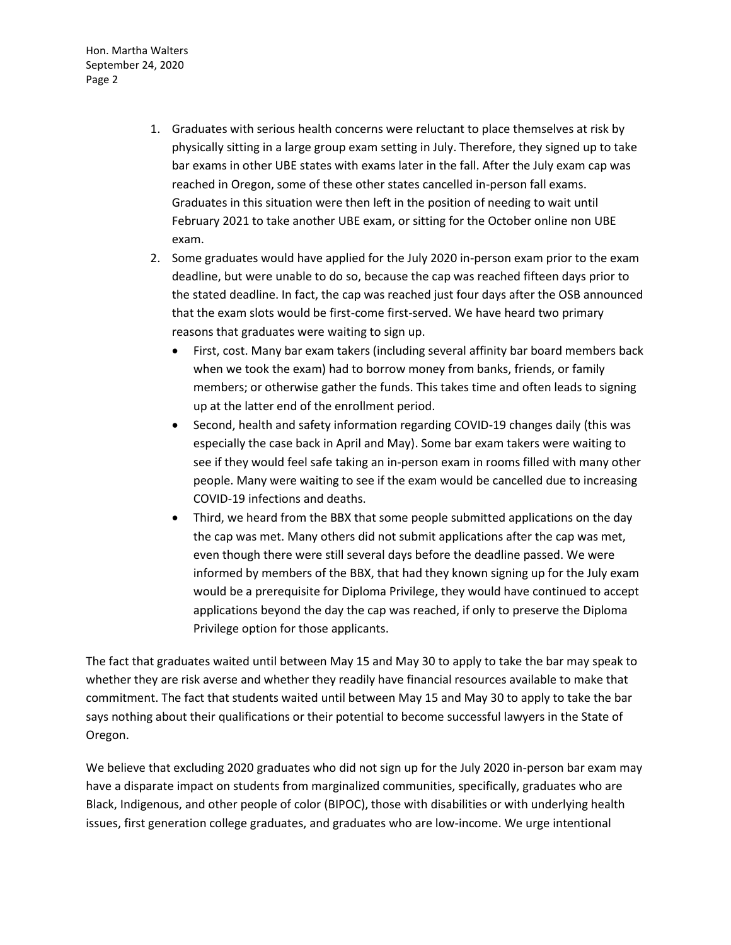- 1. Graduates with serious health concerns were reluctant to place themselves at risk by physically sitting in a large group exam setting in July. Therefore, they signed up to take bar exams in other UBE states with exams later in the fall. After the July exam cap was reached in Oregon, some of these other states cancelled in-person fall exams. Graduates in this situation were then left in the position of needing to wait until February 2021 to take another UBE exam, or sitting for the October online non UBE exam.
- 2. Some graduates would have applied for the July 2020 in-person exam prior to the exam deadline, but were unable to do so, because the cap was reached fifteen days prior to the stated deadline. In fact, the cap was reached just four days after the OSB announced that the exam slots would be first-come first-served. We have heard two primary reasons that graduates were waiting to sign up.
	- First, cost. Many bar exam takers (including several affinity bar board members back when we took the exam) had to borrow money from banks, friends, or family members; or otherwise gather the funds. This takes time and often leads to signing up at the latter end of the enrollment period.
	- Second, health and safety information regarding COVID-19 changes daily (this was especially the case back in April and May). Some bar exam takers were waiting to see if they would feel safe taking an in-person exam in rooms filled with many other people. Many were waiting to see if the exam would be cancelled due to increasing COVID-19 infections and deaths.
	- Third, we heard from the BBX that some people submitted applications on the day the cap was met. Many others did not submit applications after the cap was met, even though there were still several days before the deadline passed. We were informed by members of the BBX, that had they known signing up for the July exam would be a prerequisite for Diploma Privilege, they would have continued to accept applications beyond the day the cap was reached, if only to preserve the Diploma Privilege option for those applicants.

The fact that graduates waited until between May 15 and May 30 to apply to take the bar may speak to whether they are risk averse and whether they readily have financial resources available to make that commitment. The fact that students waited until between May 15 and May 30 to apply to take the bar says nothing about their qualifications or their potential to become successful lawyers in the State of Oregon.

We believe that excluding 2020 graduates who did not sign up for the July 2020 in-person bar exam may have a disparate impact on students from marginalized communities, specifically, graduates who are Black, Indigenous, and other people of color (BIPOC), those with disabilities or with underlying health issues, first generation college graduates, and graduates who are low-income. We urge intentional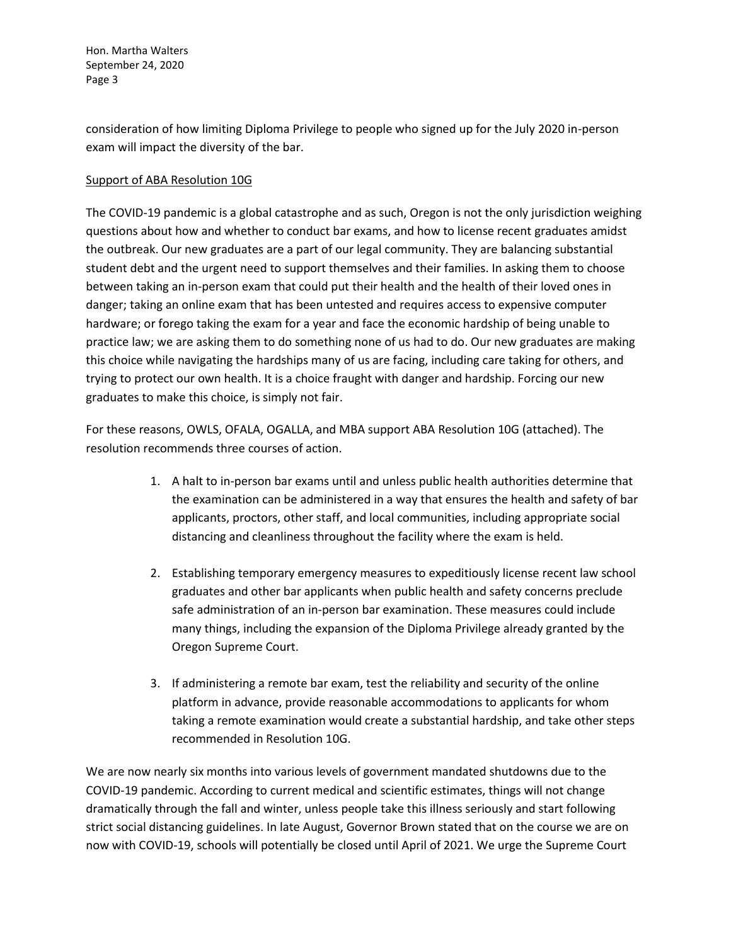consideration of how limiting Diploma Privilege to people who signed up for the July 2020 in-person exam will impact the diversity of the bar.

#### Support of ABA Resolution 10G

The COVID-19 pandemic is a global catastrophe and as such, Oregon is not the only jurisdiction weighing questions about how and whether to conduct bar exams, and how to license recent graduates amidst the outbreak. Our new graduates are a part of our legal community. They are balancing substantial student debt and the urgent need to support themselves and their families. In asking them to choose between taking an in-person exam that could put their health and the health of their loved ones in danger; taking an online exam that has been untested and requires access to expensive computer hardware; or forego taking the exam for a year and face the economic hardship of being unable to practice law; we are asking them to do something none of us had to do. Our new graduates are making this choice while navigating the hardships many of us are facing, including care taking for others, and trying to protect our own health. It is a choice fraught with danger and hardship. Forcing our new graduates to make this choice, is simply not fair.

For these reasons, OWLS, OFALA, OGALLA, and MBA support ABA Resolution 10G (attached). The resolution recommends three courses of action.

- 1. A halt to in-person bar exams until and unless public health authorities determine that the examination can be administered in a way that ensures the health and safety of bar applicants, proctors, other staff, and local communities, including appropriate social distancing and cleanliness throughout the facility where the exam is held.
- 2. Establishing temporary emergency measures to expeditiously license recent law school graduates and other bar applicants when public health and safety concerns preclude safe administration of an in-person bar examination. These measures could include many things, including the expansion of the Diploma Privilege already granted by the Oregon Supreme Court.
- 3. If administering a remote bar exam, test the reliability and security of the online platform in advance, provide reasonable accommodations to applicants for whom taking a remote examination would create a substantial hardship, and take other steps recommended in Resolution 10G.

We are now nearly six months into various levels of government mandated shutdowns due to the COVID-19 pandemic. According to current medical and scientific estimates, things will not change dramatically through the fall and winter, unless people take this illness seriously and start following strict social distancing guidelines. In late August, Governor Brown stated that on the course we are on now with COVID-19, schools will potentially be closed until April of 2021. We urge the Supreme Court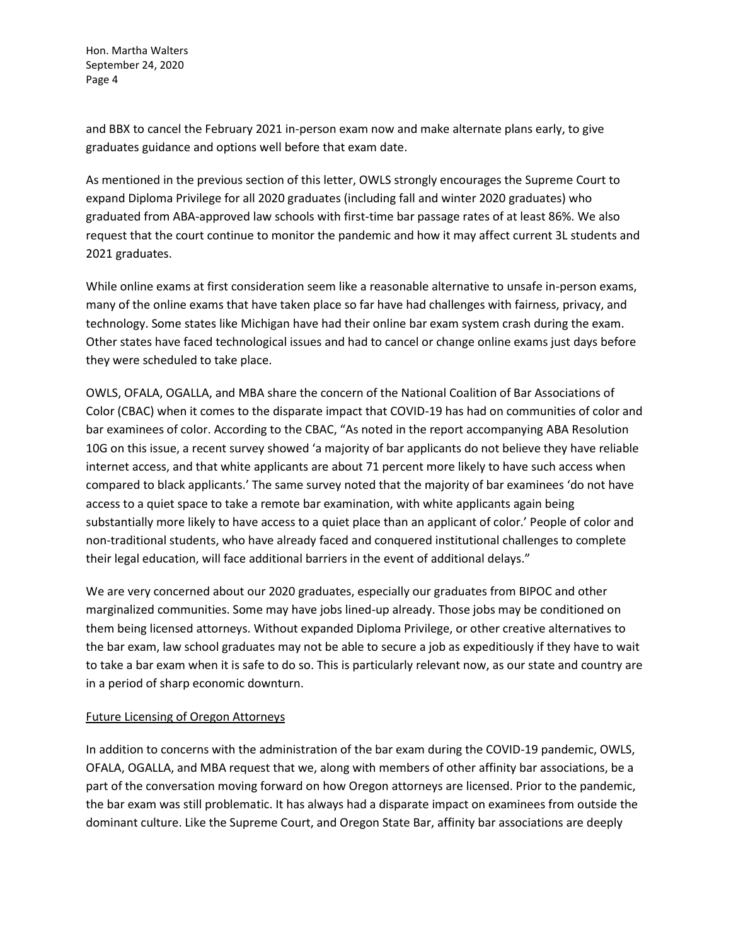and BBX to cancel the February 2021 in-person exam now and make alternate plans early, to give graduates guidance and options well before that exam date.

As mentioned in the previous section of this letter, OWLS strongly encourages the Supreme Court to expand Diploma Privilege for all 2020 graduates (including fall and winter 2020 graduates) who graduated from ABA-approved law schools with first-time bar passage rates of at least 86%. We also request that the court continue to monitor the pandemic and how it may affect current 3L students and 2021 graduates.

While online exams at first consideration seem like a reasonable alternative to unsafe in-person exams, many of the online exams that have taken place so far have had challenges with fairness, privacy, and technology. Some states like Michigan have had their online bar exam system crash during the exam. Other states have faced technological issues and had to cancel or change online exams just days before they were scheduled to take place.

OWLS, OFALA, OGALLA, and MBA share the concern of the National Coalition of Bar Associations of Color (CBAC) when it comes to the disparate impact that COVID-19 has had on communities of color and bar examinees of color. According to the CBAC, "As noted in the report accompanying ABA Resolution 10G on this issue, a recent survey showed 'a majority of bar applicants do not believe they have reliable internet access, and that white applicants are about 71 percent more likely to have such access when compared to black applicants.' The same survey noted that the majority of bar examinees 'do not have access to a quiet space to take a remote bar examination, with white applicants again being substantially more likely to have access to a quiet place than an applicant of color.' People of color and non-traditional students, who have already faced and conquered institutional challenges to complete their legal education, will face additional barriers in the event of additional delays."

We are very concerned about our 2020 graduates, especially our graduates from BIPOC and other marginalized communities. Some may have jobs lined-up already. Those jobs may be conditioned on them being licensed attorneys. Without expanded Diploma Privilege, or other creative alternatives to the bar exam, law school graduates may not be able to secure a job as expeditiously if they have to wait to take a bar exam when it is safe to do so. This is particularly relevant now, as our state and country are in a period of sharp economic downturn.

#### Future Licensing of Oregon Attorneys

In addition to concerns with the administration of the bar exam during the COVID-19 pandemic, OWLS, OFALA, OGALLA, and MBA request that we, along with members of other affinity bar associations, be a part of the conversation moving forward on how Oregon attorneys are licensed. Prior to the pandemic, the bar exam was still problematic. It has always had a disparate impact on examinees from outside the dominant culture. Like the Supreme Court, and Oregon State Bar, affinity bar associations are deeply